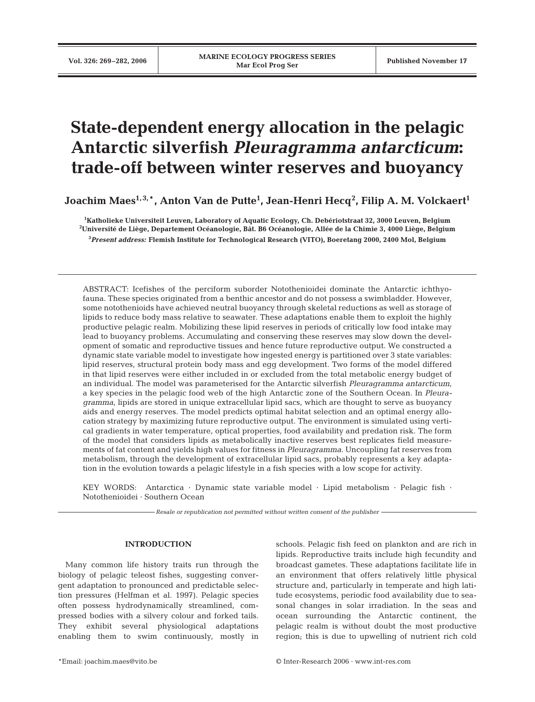# **State-dependent energy allocation in the pelagic Antarctic silverfish** *Pleuragramma antarcticum***: trade-off between winter reserves and buoyancy**

**Joachim Maes1, 3,**\***, Anton Van de Putte1 , Jean-Henri Hecq<sup>2</sup> , Filip A. M. Volckaert1**

**1 Katholieke Universiteit Leuven, Laboratory of Aquatic Ecology, Ch. Debériotstraat 32, 3000 Leuven, Belgium 2 Université de Liège, Departement Océanologie, Bât. B6 Océanologie, Allée de la Chimie 3, 4000 Liège, Belgium 3** *Present address:* **Flemish Institute for Technological Research (VITO), Boeretang 2000, 2400 Mol, Belgium**

ABSTRACT: Icefishes of the perciform suborder Notothenioidei dominate the Antarctic ichthyofauna. These species originated from a benthic ancestor and do not possess a swimbladder. However, some notothenioids have achieved neutral buoyancy through skeletal reductions as well as storage of lipids to reduce body mass relative to seawater. These adaptations enable them to exploit the highly productive pelagic realm. Mobilizing these lipid reserves in periods of critically low food intake may lead to buoyancy problems. Accumulating and conserving these reserves may slow down the development of somatic and reproductive tissues and hence future reproductive output. We constructed a dynamic state variable model to investigate how ingested energy is partitioned over 3 state variables: lipid reserves, structural protein body mass and egg development. Two forms of the model differed in that lipid reserves were either included in or excluded from the total metabolic energy budget of an individual. The model was parameterised for the Antarctic silverfish *Pleuragramma antarcticum*, a key species in the pelagic food web of the high Antarctic zone of the Southern Ocean. In *Pleuragramma*, lipids are stored in unique extracellular lipid sacs, which are thought to serve as buoyancy aids and energy reserves. The model predicts optimal habitat selection and an optimal energy allocation strategy by maximizing future reproductive output. The environment is simulated using vertical gradients in water temperature, optical properties, food availability and predation risk. The form of the model that considers lipids as metabolically inactive reserves best replicates field measurements of fat content and yields high values for fitness in *Pleuragramma*. Uncoupling fat reserves from metabolism, through the development of extracellular lipid sacs, probably represents a key adaptation in the evolution towards a pelagic lifestyle in a fish species with a low scope for activity.

KEY WORDS: Antarctica · Dynamic state variable model · Lipid metabolism · Pelagic fish · Notothenioidei · Southern Ocean

*Resale or republication not permitted without written consent of the publisher*

# **INTRODUCTION**

Many common life history traits run through the biology of pelagic teleost fishes, suggesting convergent adaptation to pronounced and predictable selection pressures (Helfman et al. 1997). Pelagic species often possess hydrodynamically streamlined, compressed bodies with a silvery colour and forked tails. They exhibit several physiological adaptations enabling them to swim continuously, mostly in schools. Pelagic fish feed on plankton and are rich in lipids. Reproductive traits include high fecundity and broadcast gametes. These adaptations facilitate life in an environment that offers relatively little physical structure and, particularly in temperate and high latitude ecosystems, periodic food availability due to seasonal changes in solar irradiation. In the seas and ocean surrounding the Antarctic continent, the pelagic realm is without doubt the most productive region; this is due to upwelling of nutrient rich cold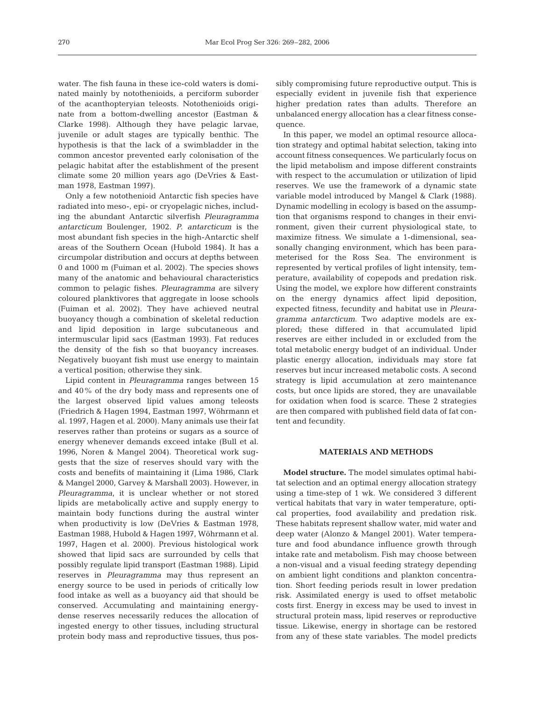water. The fish fauna in these ice-cold waters is dominated mainly by notothenioids, a perciform suborder of the acanthopteryian teleosts. Notothenioids originate from a bottom-dwelling ancestor (Eastman & Clarke 1998). Although they have pelagic larvae, juvenile or adult stages are typically benthic. The hypothesis is that the lack of a swimbladder in the common ancestor prevented early colonisation of the pelagic habitat after the establishment of the present climate some 20 million years ago (DeVries & Eastman 1978, Eastman 1997).

Only a few notothenioid Antarctic fish species have radiated into meso-, epi- or cryopelagic niches, including the abundant Antarctic silverfish *Pleuragramma antarcticum* Boulenger, 1902. *P. antarcticum* is the most abundant fish species in the high-Antarctic shelf areas of the Southern Ocean (Hubold 1984). It has a circumpolar distribution and occurs at depths between 0 and 1000 m (Fuiman et al. 2002). The species shows many of the anatomic and behavioural characteristics common to pelagic fishes. *Pleuragramma* are silvery coloured planktivores that aggregate in loose schools (Fuiman et al*.* 2002). They have achieved neutral buoyancy though a combination of skeletal reduction and lipid deposition in large subcutaneous and intermuscular lipid sacs (Eastman 1993). Fat reduces the density of the fish so that buoyancy increases. Negatively buoyant fish must use energy to maintain a vertical position; otherwise they sink.

Lipid content in *Pleuragramma* ranges between 15 and 40% of the dry body mass and represents one of the largest observed lipid values among teleosts (Friedrich & Hagen 1994, Eastman 1997, Wöhrmann et al*.* 1997, Hagen et al*.* 2000). Many animals use their fat reserves rather than proteins or sugars as a source of energy whenever demands exceed intake (Bull et al. 1996, Noren & Mangel 2004). Theoretical work suggests that the size of reserves should vary with the costs and benefits of maintaining it (Lima 1986, Clark & Mangel 2000, Garvey & Marshall 2003). However, in *Pleuragramma*, it is unclear whether or not stored lipids are metabolically active and supply energy to maintain body functions during the austral winter when productivity is low (DeVries & Eastman 1978, Eastman 1988, Hubold & Hagen 1997, Wöhrmann et al*.* 1997, Hagen et al. 2000). Previous histological work showed that lipid sacs are surrounded by cells that possibly regulate lipid transport (Eastman 1988). Lipid reserves in *Pleuragramma* may thus represent an energy source to be used in periods of critically low food intake as well as a buoyancy aid that should be conserved. Accumulating and maintaining energydense reserves necessarily reduces the allocation of ingested energy to other tissues, including structural protein body mass and reproductive tissues, thus possibly compromising future reproductive output. This is especially evident in juvenile fish that experience higher predation rates than adults. Therefore an unbalanced energy allocation has a clear fitness consequence.

In this paper, we model an optimal resource allocation strategy and optimal habitat selection, taking into account fitness consequences. We particularly focus on the lipid metabolism and impose different constraints with respect to the accumulation or utilization of lipid reserves. We use the framework of a dynamic state variable model introduced by Mangel & Clark (1988). Dynamic modelling in ecology is based on the assumption that organisms respond to changes in their environment, given their current physiological state, to maximize fitness. We simulate a 1-dimensional, seasonally changing environment, which has been parameterised for the Ross Sea. The environment is represented by vertical profiles of light intensity, temperature, availability of copepods and predation risk. Using the model, we explore how different constraints on the energy dynamics affect lipid deposition, expected fitness, fecundity and habitat use in *Pleuragramma antarcticum*. Two adaptive models are explored; these differed in that accumulated lipid reserves are either included in or excluded from the total metabolic energy budget of an individual. Under plastic energy allocation, individuals may store fat reserves but incur increased metabolic costs. A second strategy is lipid accumulation at zero maintenance costs, but once lipids are stored, they are unavailable for oxidation when food is scarce. These 2 strategies are then compared with published field data of fat content and fecundity.

# **MATERIALS AND METHODS**

**Model structure.** The model simulates optimal habitat selection and an optimal energy allocation strategy using a time-step of 1 wk. We considered 3 different vertical habitats that vary in water temperature, optical properties, food availability and predation risk. These habitats represent shallow water, mid water and deep water (Alonzo & Mangel 2001). Water temperature and food abundance influence growth through intake rate and metabolism. Fish may choose between a non-visual and a visual feeding strategy depending on ambient light conditions and plankton concentration. Short feeding periods result in lower predation risk. Assimilated energy is used to offset metabolic costs first. Energy in excess may be used to invest in structural protein mass, lipid reserves or reproductive tissue. Likewise, energy in shortage can be restored from any of these state variables. The model predicts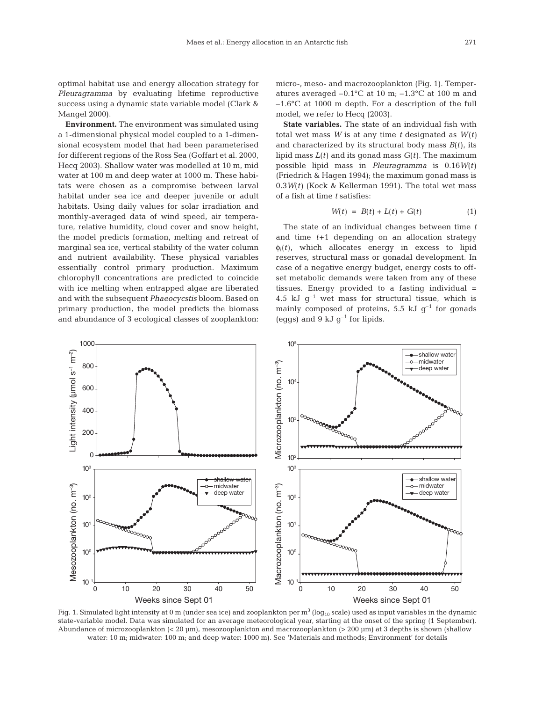optimal habitat use and energy allocation strategy for *Pleuragramma* by evaluating lifetime reproductive success using a dynamic state variable model (Clark & Mangel 2000).

**Environment.** The environment was simulated using a 1-dimensional physical model coupled to a 1-dimensional ecosystem model that had been parameterised for different regions of the Ross Sea (Goffart et al. 2000, Hecq 2003). Shallow water was modelled at 10 m, mid water at 100 m and deep water at 1000 m. These habitats were chosen as a compromise between larval habitat under sea ice and deeper juvenile or adult habitats. Using daily values for solar irradiation and monthly-averaged data of wind speed, air temperature, relative humidity, cloud cover and snow height, the model predicts formation, melting and retreat of marginal sea ice, vertical stability of the water column and nutrient availability. These physical variables essentially control primary production. Maximum chlorophyll concentrations are predicted to coincide with ice melting when entrapped algae are liberated and with the subsequent *Phaeocycstis* bloom. Based on primary production, the model predicts the biomass and abundance of 3 ecological classes of zooplankton:

micro-, meso- and macrozooplankton (Fig. 1). Temperatures averaged  $-0.1$ °C at 10 m;  $-1.3$ °C at 100 m and –1.6°C at 1000 m depth. For a description of the full model, we refer to Hecq (2003).

**State variables.** The state of an individual fish with total wet mass *W* is at any time *t* designated as *W*(*t)* and characterized by its structural body mass *B*(*t*), its lipid mass *L*(*t*) and its gonad mass *G*(*t*). The maximum possible lipid mass in *Pleuragramma* is 0.16*W*(*t*) (Friedrich & Hagen 1994); the maximum gonad mass is 0.3*W*(*t*) (Kock & Kellerman 1991). The total wet mass of a fish at time *t* satisfies:

$$
W(t) = B(t) + L(t) + G(t)
$$
 (1)

The state of an individual changes between time *t* and time *t*+1 depending on an allocation strategy  $\phi_i(t)$ , which allocates energy in excess to lipid reserves, structural mass or gonadal development. In case of a negative energy budget, energy costs to offset metabolic demands were taken from any of these tissues. Energy provided to a fasting individual = 4.5 kJ  $q^{-1}$  wet mass for structural tissue, which is mainly composed of proteins,  $5.5$  kJ  $g^{-1}$  for gonads (eggs) and 9 kJ  $q^{-1}$  for lipids.



Fig. 1. Simulated light intensity at 0 m (under sea ice) and zooplankton per  $m^3$  (log<sub>10</sub> scale) used as input variables in the dynamic state-variable model. Data was simulated for an average meteorological year, starting at the onset of the spring (1 September). Abundance of microzooplankton (< 20 µm), mesozooplankton and macrozooplankton (> 200 µm) at 3 depths is shown (shallow water: 10 m; midwater: 100 m; and deep water: 1000 m). See 'Materials and methods; Environment' for details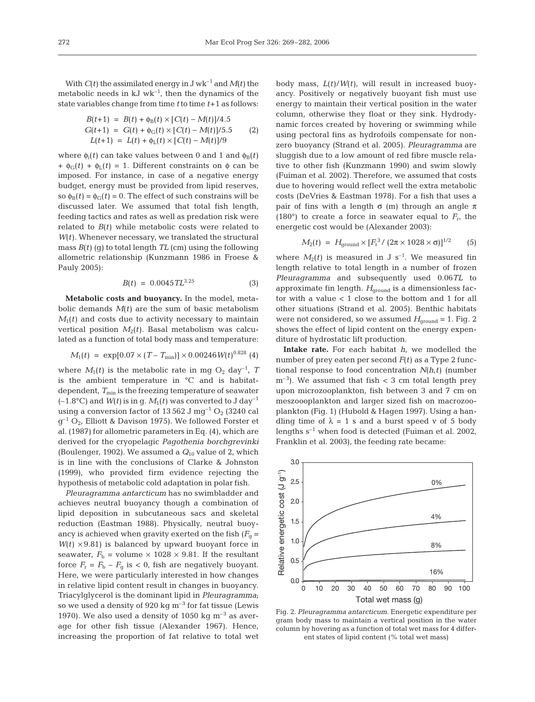With  $C(t)$  the assimilated energy in J wk<sup>-1</sup> and  $M(t)$  the metabolic needs in  $kJ$  wk<sup>-1</sup>, then the dynamics of the state variables change from time *t* to time *t*+1 as follows:

$$
B(t+1) = B(t) + \phi_B(t) \times [C(t) - M(t)]/4.5
$$
  
\n
$$
G(t+1) = G(t) + \phi_G(t) \times [C(t) - M(t)]/5.5
$$
\n
$$
L(t+1) = L(t) + \phi_L(t) \times [C(t) - M(t)]/9
$$

where  $\phi_i(t)$  can take values between 0 and 1 and  $\phi_B(t)$ +  $\phi_G(t)$  +  $\phi_L(t)$  = 1. Different constraints on  $\phi$  can be imposed. For instance, in case of a negative energy budget, energy must be provided from lipid reserves, so  $\phi_B(t) = \phi_G(t) = 0$ . The effect of such constrains will be discussed later. We assumed that total fish length, feeding tactics and rates as well as predation risk were related to *B*(*t*) while metabolic costs were related to *W*(*t*). Whenever necessary, we translated the structural mass  $B(t)$  (g) to total length  $TL$  (cm) using the following allometric relationship (Kunzmann 1986 in Froese & Pauly 2005):

$$
B(t) = 0.0045 \, T L^{3.25} \tag{3}
$$

**Metabolic costs and buoyancy.** In the model, metabolic demands  $M(t)$  are the sum of basic metabolism  $M_1(t)$  and costs due to activity necessary to maintain vertical position  $M_2(t)$ . Basal metabolism was calculated as a function of total body mass and temperature:

$$
M_1(t) = \exp[0.07 \times (T - T_{\min})] \times 0.00246 W(t)^{0.828} (4)
$$

where  $M_1(t)$  is the metabolic rate in mg  $O_2$  day<sup>-1</sup>, *T* is the ambient temperature in °C and is habitatdependent,  $T_{\text{min}}$  is the freezing temperature of seawater  $(-1.8^{\circ}C)$  and  $W(t)$  is in g.  $M_1(t)$  was converted to J day<sup>-1</sup> using a conversion factor of 13 562 J mg<sup>-1</sup>  $O_2$  (3240 cal  $q^{-1} O_{2}$ , Elliott & Davison 1975). We followed Forster et al. (1987) for allometric parameters in Eq. (4), which are derived for the cryopelagic *Pagothenia borchgrevinki* (Boulenger, 1902). We assumed a *Q*<sup>10</sup> value of 2, which is in line with the conclusions of Clarke & Johnston (1999), who provided firm evidence rejecting the hypothesis of metabolic cold adaptation in polar fish.

*Pleuragramma antarcticum* has no swimbladder and achieves neutral buoyancy though a combination of lipid deposition in subcutaneous sacs and skeletal reduction (Eastman 1988). Physically, neutral buoyancy is achieved when gravity exerted on the fish  $(F_q =$  $W(t) \times 9.81$ ) is balanced by upward buoyant force in seawater,  $F_b$  = volume  $\times$  1028  $\times$  9.81. If the resultant force  $F_r = F_b - F_a$  is < 0, fish are negatively buoyant. Here, we were particularly interested in how changes in relative lipid content result in changes in buoyancy. Triacylglycerol is the dominant lipid in *Pleuragramma*; so we used a density of 920 kg  $\mathrm{m}^{-3}$  for fat tissue (Lewis 1970). We also used a density of 1050 kg  $\mathrm{m}^{-3}$  as average for other fish tissue (Alexander 1967). Hence, increasing the proportion of fat relative to total wet body mass, *L*(*t*)/*W*(*t*), will result in increased buoyancy. Positively or negatively buoyant fish must use energy to maintain their vertical position in the water column, otherwise they float or they sink. Hydrodynamic forces created by hovering or swimming while using pectoral fins as hydrofoils compensate for nonzero buoyancy (Strand et al. 2005). *Pleuragramma* are sluggish due to a low amount of red fibre muscle relative to other fish (Kunzmann 1990) and swim slowly (Fuiman et al. 2002). Therefore, we assumed that costs due to hovering would reflect well the extra metabolic costs (DeVries & Eastman 1978). For a fish that uses a pair of fins with a length  $\sigma$  (m) through an angle  $\pi$ (180°) to create a force in seawater equal to  $F_{\rm r}$ , the energetic cost would be (Alexander 2003):

$$
M_2(t) = H_{\text{ground}} \times [F_{\text{r}}^3 / (2\pi \times 1028 \times \sigma)]^{1/2} \tag{5}
$$

where  $M_2(t)$  is measured in J s<sup>-1</sup>. We measured fin length relative to total length in a number of frozen *Pleuragramma* and subsequently used 0.06*TL* to approximate fin length. *H*<sub>ground</sub> is a dimensionless factor with a value < 1 close to the bottom and 1 for all other situations (Strand et al*.* 2005). Benthic habitats were not considered, so we assumed  $H_{ground} = 1$ . Fig. 2 shows the effect of lipid content on the energy expenditure of hydrostatic lift production.

**Intake rate.** For each habitat *h*, we modelled the number of prey eaten per second *F*(*t*) as a Type 2 functional response to food concentration *N*(*h*,*t*) (number  $\rm m^{-3}$ ). We assumed that fish  $\rm < 3$  cm total length prey upon microzooplankton, fish between 3 and 7 cm on meszoooplankton and larger sized fish on macrozooplankton (Fig. 1) (Hubold & Hagen 1997). Using a handling time of  $\lambda = 1$  s and a burst speed v of 5 body lengths  $s^{-1}$  when food is detected (Fuiman et al. 2002, Franklin et al. 2003), the feeding rate became:



Fig. 2. *Pleuragramma antarcticum*. Energetic expenditure per gram body mass to maintain a vertical position in the water column by hovering as a function of total wet mass for 4 different states of lipid content (% total wet mass)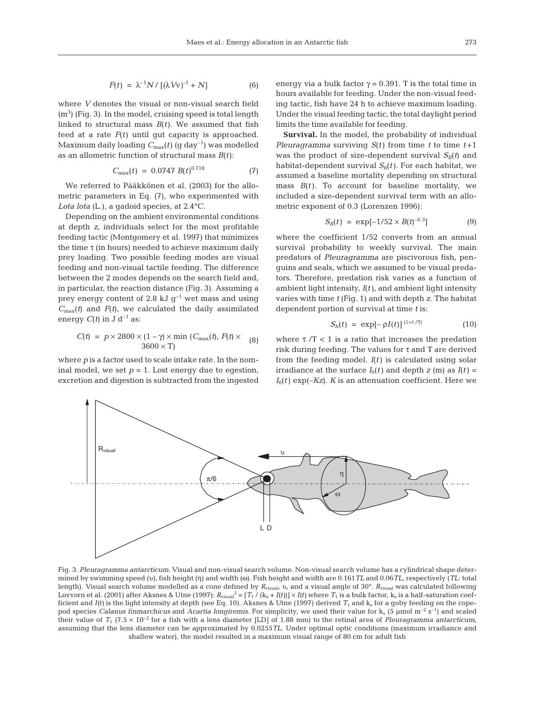$$
F(t) = \lambda^{-1} N / [(\lambda VV)^{-1} + N]
$$
 (6)

where *V* denotes the visual or non-visual search field  $(m<sup>3</sup>)$  (Fig. 3). In the model, cruising speed is total length linked to structural mass  $B(t)$ . We assumed that fish feed at a rate *F*(*t*) until gut capacity is approached. Maximum daily loading  $C_{\text{max}}(t)$  (g day<sup>-1</sup>) was modelled as an allometric function of structural mass  $B(t)$ :

$$
C_{\text{max}}(t) = 0.0747 B(t)^{0.718} \tag{7}
$$

We referred to Pääkkönen et al. (2003) for the allometric parameters in Eq. (7), who experimented with *Lota lota* (L.), a gadoid species, at 2.4°C.

Depending on the ambient environmental conditions at depth *z*, individuals select for the most profitable feeding tactic (Montgomery et al. 1997) that minimizes the time  $\tau$  (in hours) needed to achieve maximum daily prey loading. Two possible feeding modes are visual feeding and non-visual tactile feeding. The difference between the 2 modes depends on the search field and, in particular, the reaction distance (Fig. 3). Assuming a prey energy content of 2.8 kJ  $q^{-1}$  wet mass and using  $C_{\text{max}}(t)$  and  $F(t)$ , we calculated the daily assimilated energy  $C(t)$  in J d<sup>-1</sup> as:

$$
C(t) = p \times 2800 \times (1 - \gamma) \times \min(C_{\max}(t), F(t) \times (8)
$$
  
3600 × T)

where *p* is a factor used to scale intake rate. In the nominal model, we set  $p = 1$ . Lost energy due to egestion, excretion and digestion is subtracted from the ingested energy via a bulk factor  $\gamma = 0.391$ . T is the total time in hours available for feeding. Under the non-visual feeding tactic, fish have 24 h to achieve maximum loading. Under the visual feeding tactic, the total daylight period limits the time available for feeding.

**Survival.** In the model, the probability of individual *Pleuragramma* surviving *S*(*t*) from time *t* to time *t* +1 was the product of size-dependent survival  $S_B(t)$  and habitat-dependent survival  $S_h(t)$ . For each habitat, we assumed a baseline mortality depending on structural mass  $B(t)$ . To account for baseline mortality, we included a size-dependent survival term with an allometric exponent of 0.3 (Lorenzen 1996):

$$
S_B(t) = \exp[-1/52 \times B(t)^{-0.3}] \tag{9}
$$

where the coefficient 1/52 converts from an annual survival probability to weekly survival. The main predators of *Pleuragramma* are piscivorous fish, penguins and seals, which we assumed to be visual predators. Therefore, predation risk varies as a function of ambient light intensity, *I*(*t*), and ambient light intensity varies with time *t* (Fig. 1) and with depth *z*. The habitat dependent portion of survival at time *t* is:

$$
S_h(t) = \exp[-\rho I(t)]^{\,(1+\tau/T)} \tag{10}
$$

where  $\tau/T < 1$  is a ratio that increases the predation risk during feeding. The values for τ and Τ are derived from the feeding model. *I*(*t*) is calculated using solar irradiance at the surface  $I_0(t)$  and depth  $z$  (m) as  $I(t)$  =  $I_0(t)$  exp( $-Kz$ ). *K* is an attenuation coefficient. Here we



Fig. 3. *Pleuragramma antarcticum*. Visual and non-visual search volume. Non-visual search volume has a cylindrical shape determined by swimming speed (υ), fish height (η) and width (ω). Fish height and width are 0.161*TL* and 0.06*TL*, respectively (*TL*: total length). Visual search volume modelled as a cone defined by *R*visual, υ, and a visual angle of 30°. *R*visual was calculated following Lovvorn et al. (2001) after Aksnes & Utne (1997):  $R_{visual}^2 = [T_1 / (k_s + I(t))] \times I(t)$  where  $T_1$  is a bulk factor,  $k_s$  is a half-saturation coefficient and  $I(t)$  is the light intensity at depth (see Eq. 10). Aksnes & Utne (1997) derived  $T_1$  and  $k_s$  for a goby feeding on the copepod species *Calanus finmarchicus* and *Acartia longiremis*. For simplicity, we used their value for k<sub>s</sub> (5 µmol m<sup>-2</sup> s<sup>-1</sup>) and scaled their value of  $T_1$  (7.5 × 10<sup>-2</sup> for a fish with a lens diameter [LD] of 1.88 mm) to the retinal area of *Pleuragramma antarcticum*, assuming that the lens diameter can be approximated by 0.0255*TL*. Under optimal optic conditions (maximum irradiance and shallow water), the model resulted in a maximum visual range of 80 cm for adult fish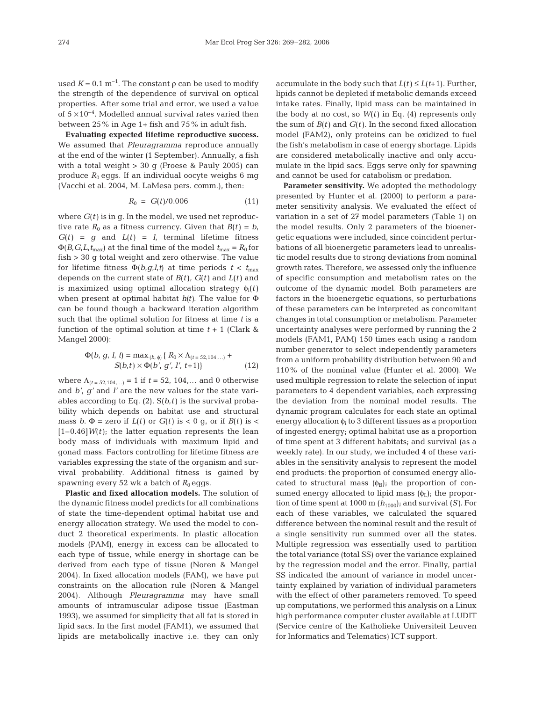used  $K = 0.1 \text{ m}^{-1}$ . The constant  $\rho$  can be used to modify the strength of the dependence of survival on optical properties. After some trial and error, we used a value of  $5 \times 10^{-4}$ . Modelled annual survival rates varied then between 25% in Age 1+ fish and 75% in adult fish.

**Evaluating expected lifetime reproductive success.** We assumed that *Pleuragramma* reproduce annually at the end of the winter (1 September). Annually, a fish with a total weight > 30 g (Froese & Pauly 2005) can produce  $R_0$  eggs. If an individual oocyte weighs 6 mg (Vacchi et al. 2004, M. LaMesa pers. comm.), then:

$$
R_0 = G(t)/0.006 \tag{11}
$$

where  $G(t)$  is in g. In the model, we used net reproductive rate  $R_0$  as a fitness currency. Given that  $B(t) = b$ ,  $G(t) = g$  and  $L(t) = l$ , terminal lifetime fitness  $\Phi(B, G, L, t_{\text{max}})$  at the final time of the model  $t_{\text{max}} = R_0$  for fish > 30 g total weight and zero otherwise. The value for lifetime fitness  $\Phi(b,q,l,t)$  at time periods  $t < t_{\text{max}}$ depends on the current state of *B*(*t*), *G*(*t*) and *L*(*t*) and is maximized using optimal allocation strategy  $\phi_i(t)$ when present at optimal habitat *h(t)*. The value for Φ can be found though a backward iteration algorithm such that the optimal solution for fitness at time *t* is a function of the optimal solution at time  $t + 1$  (Clark & Mangel 2000):

$$
\Phi(b, g, l, t) = \max_{(h, \phi)} \{ R_0 \times \Lambda_{(t=52, 104,...)} + S(b, t) \times \Phi(b', g', l', t+1) \}
$$
\n(12)

where  $\Lambda_{(t = 52, 104,...)} = 1$  if  $t = 52, 104,...$  and 0 otherwise and *b'*, *g'* and *l'* are the new values for the state variables according to Eq. (2). S(*b*,*t*) is the survival probability which depends on habitat use and structural mass *b*.  $\Phi$  = zero if  $L(t)$  or  $G(t)$  is < 0 g, or if  $B(t)$  is <  $[1-0.46]W(t)$ ; the latter equation represents the lean body mass of individuals with maximum lipid and gonad mass. Factors controlling for lifetime fitness are variables expressing the state of the organism and survival probability. Additional fitness is gained by spawning every 52 wk a batch of  $R_0$  eggs.

**Plastic and fixed allocation models.** The solution of the dynamic fitness model predicts for all combinations of state the time-dependent optimal habitat use and energy allocation strategy. We used the model to conduct 2 theoretical experiments. In plastic allocation models (PAM), energy in excess can be allocated to each type of tissue, while energy in shortage can be derived from each type of tissue (Noren & Mangel 2004). In fixed allocation models (FAM), we have put constraints on the allocation rule (Noren & Mangel 2004). Although *Pleuragramma* may have small amounts of intramuscular adipose tissue (Eastman 1993), we assumed for simplicity that all fat is stored in lipid sacs. In the first model (FAM1), we assumed that lipids are metabolically inactive i.e. they can only accumulate in the body such that  $L(t) \le L(t+1)$ . Further, lipids cannot be depleted if metabolic demands exceed intake rates. Finally, lipid mass can be maintained in the body at no cost, so *W*(*t*) in Eq. (4) represents only the sum of  $B(t)$  and  $G(t)$ . In the second fixed allocation model (FAM2), only proteins can be oxidized to fuel the fish's metabolism in case of energy shortage. Lipids are considered metabolically inactive and only accumulate in the lipid sacs. Eggs serve only for spawning and cannot be used for catabolism or predation.

**Parameter sensitivity.** We adopted the methodology presented by Hunter et al. (2000) to perform a parameter sensitivity analysis. We evaluated the effect of variation in a set of 27 model parameters (Table 1) on the model results. Only 2 parameters of the bioenergetic equations were included, since coincident perturbations of all bioenergetic parameters lead to unrealistic model results due to strong deviations from nominal growth rates. Therefore, we assessed only the influence of specific consumption and metabolism rates on the outcome of the dynamic model. Both parameters are factors in the bioenergetic equations, so perturbations of these parameters can be interpreted as concomitant changes in total consumption or metabolism. Parameter uncertainty analyses were performed by running the 2 models (FAM1, PAM) 150 times each using a random number generator to select independently parameters from a uniform probability distribution between 90 and 110% of the nominal value (Hunter et al. 2000). We used multiple regression to relate the selection of input parameters to 4 dependent variables, each expressing the deviation from the nominal model results. The dynamic program calculates for each state an optimal energy allocation  $\phi_i$  to 3 different tissues as a proportion of ingested energy; optimal habitat use as a proportion of time spent at 3 different habitats; and survival (as a weekly rate). In our study, we included 4 of these variables in the sensitivity analysis to represent the model end products: the proportion of consumed energy allocated to structural mass  $(\phi_B)$ ; the proportion of consumed energy allocated to lipid mass  $(\phi_L)$ ; the proportion of time spent at 1000 m  $(h_{1000})$ ; and survival  $(S)$ . For each of these variables, we calculated the squared difference between the nominal result and the result of a single sensitivity run summed over all the states. Multiple regression was essentially used to partition the total variance (total SS) over the variance explained by the regression model and the error. Finally, partial SS indicated the amount of variance in model uncertainty explained by variation of individual parameters with the effect of other parameters removed. To speed up computations, we performed this analysis on a Linux high performance computer cluster available at LUDIT (Service centre of the Katholieke Universiteit Leuven for Informatics and Telematics) ICT support.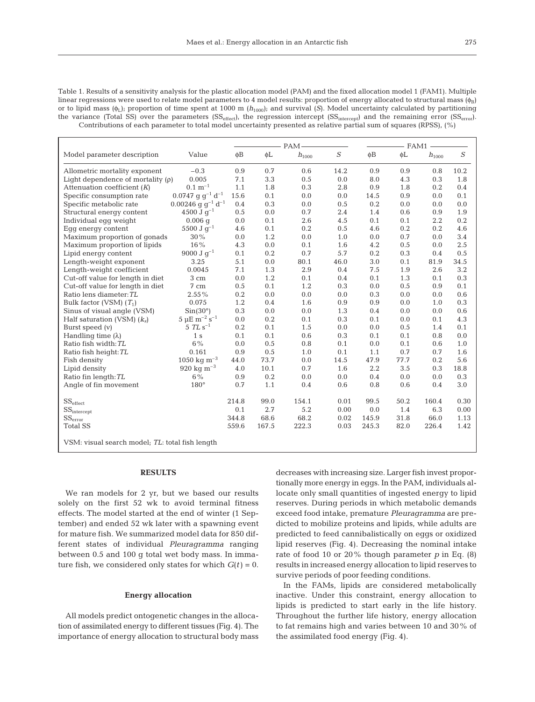Table 1. Results of a sensitivity analysis for the plastic allocation model (PAM) and the fixed allocation model 1 (FAM1). Multiple linear regressions were used to relate model parameters to 4 model results: proportion of energy allocated to structural mass  $(\phi_B)$ or to lipid mass (φL); proportion of time spent at 1000 m (*h*1000); and survival (*S*). Model uncertainty calculated by partitioning the variance (Total SS) over the parameters  $SS_{effect}$ , the regression intercept  $(SS_{intercent} )$  and the remaining error  $(SS_{error} )$ . Contributions of each parameter to total model uncertainty presented as relative partial sum of squares (RPSS), (%)

|                                                 |                                             |          | PAM-  |                       |          | - FAM1   |      |                       |          |
|-------------------------------------------------|---------------------------------------------|----------|-------|-----------------------|----------|----------|------|-----------------------|----------|
| Model parameter description                     | Value                                       | $\phi$ B | φL    | $\mathfrak{h}_{1000}$ | $\cal S$ | $\phi$ B | φL   | $\mathfrak{h}_{1000}$ | $\cal S$ |
| Allometric mortality exponent                   | $-0.3$                                      | 0.9      | 0.7   | 0.6                   | 14.2     | 0.9      | 0.9  | 0.8                   | 10.2     |
| Light dependence of mortality $(\rho)$          | 0.005                                       | 7.1      | 3.3   | 0.5                   | 0.0      | 8.0      | 4.3  | 0.3                   | 1.8      |
| Attenuation coefficient $(K)$                   | $0.1 \; \mathrm{m}^{-1}$                    | 1.1      | 1.8   | 0.3                   | 2.8      | 0.9      | 1.8  | 0.2                   | 0.4      |
| Specific consumption rate                       | $0.0747~{\rm g~g^{-1}~d^{-1}}$              | 15.6     | 0.1   | 0.0                   | 0.0      | 14.5     | 0.9  | 0.0                   | 0.1      |
| Specific metabolic rate                         | $0.00246$ g g <sup>-1</sup> d <sup>-1</sup> | 0.4      | 0.3   | 0.0                   | 0.5      | 0.2      | 0.0  | 0.0                   | 0.0      |
| Structural energy content                       | 4500 J $q^{-1}$                             | 0.5      | 0.0   | 0.7                   | 2.4      | 1.4      | 0.6  | 0.9                   | 1.9      |
| Individual eqq weight                           | $0.006$ q                                   | 0.0      | 0.1   | 2.6                   | 4.5      | 0.1      | 0.1  | 2.2                   | 0.2      |
| Eqq energy content                              | $5500 \text{ J} \text{ q}^{-1}$             | 4.6      | 0.1   | 0.2                   | 0.5      | 4.6      | 0.2  | 0.2                   | 4.6      |
| Maximum proportion of gonads                    | 30%                                         | 0.0      | 1.2   | 0.0                   | 1.0      | 0.0      | 0.7  | 0.0                   | 3.4      |
| Maximum proportion of lipids                    | 16%                                         | 4.3      | 0.0   | 0.1                   | 1.6      | 4.2      | 0.5  | 0.0                   | 2.5      |
| Lipid energy content                            | $9000 \text{ J g}^{-1}$                     | 0.1      | 0.2   | 0.7                   | 5.7      | 0.2      | 0.3  | 0.4                   | 0.5      |
| Length-weight exponent                          | 3.25                                        | 5.1      | 0.0   | 80.1                  | 46.0     | 3.0      | 0.1  | 81.9                  | 34.5     |
| Length-weight coefficient                       | 0.0045                                      | 7.1      | 1.3   | 2.9                   | 0.4      | 7.5      | 1.9  | 2.6                   | 3.2      |
| Cut-off value for length in diet                | 3 cm                                        | 0.0      | 1.2   | 0.1                   | 0.4      | 0.1      | 1.3  | 0.1                   | 0.3      |
| Cut-off value for length in diet                | 7 cm                                        | 0.5      | 0.1   | 1.2                   | 0.3      | 0.0      | 0.5  | 0.9                   | 0.1      |
| Ratio lens diameter: TL                         | 2.55%                                       | 0.2      | 0.0   | 0.0                   | 0.0      | 0.3      | 0.0  | 0.0                   | 0.6      |
| Bulk factor (VSM) $(T_1)$                       | 0.075                                       | 1.2      | 0.4   | 1.6                   | 0.9      | 0.9      | 0.0  | 1.0                   | 0.3      |
| Sinus of visual angle (VSM)                     | $Sin(30^{\circ})$                           | 0.3      | 0.0   | 0.0                   | 1.3      | 0.4      | 0.0  | 0.0                   | 0.6      |
| Half saturation (VSM) $(k_s)$                   | $5 \mu E \text{ m}^{-2} \text{ s}^{-1}$     | 0.0      | 0.2   | 0.1                   | 0.3      | 0.1      | 0.0  | 0.1                   | 4.3      |
| Burst speed $(v)$                               | 5 TL $s^{-1}$                               | 0.2      | 0.1   | 1.5                   | 0.0      | 0.0      | 0.5  | 1.4                   | 0.1      |
| Handling time $(\lambda)$                       | 1 <sub>s</sub>                              | 0.1      | 0.1   | 0.6                   | 0.3      | 0.1      | 0.1  | 0.8                   | 0.0      |
| Ratio fish width: TL                            | $6\%$                                       | 0.0      | 0.5   | 0.8                   | 0.1      | 0.0      | 0.1  | 0.6                   | 1.0      |
| Ratio fish height: TL                           | 0.161                                       | 0.9      | 0.5   | 1.0                   | 0.1      | 1.1      | 0.7  | 0.7                   | 1.6      |
| Fish density                                    | 1050 kg m <sup>-3</sup>                     | 44.0     | 73.7  | 0.0                   | 14.5     | 47.9     | 77.7 | 0.2                   | 5.6      |
| Lipid density                                   | 920 kg $m^{-3}$                             | 4.0      | 10.1  | 0.7                   | 1.6      | 2.2      | 3.5  | 0.3                   | 18.8     |
| Ratio fin length: TL                            | $6\%$                                       | 0.9      | 0.2   | 0.0                   | 0.0      | 0.4      | 0.0  | 0.0                   | 0.3      |
| Angle of fin movement                           | 180°                                        | 0.7      | 1.1   | 0.4                   | 0.6      | 0.8      | 0.6  | 0.4                   | 3.0      |
| $\text{SS}_{\text{effect}}$                     |                                             | 214.8    | 99.0  | 154.1                 | 0.01     | 99.5     | 50.2 | 160.4                 | 0.30     |
| $SS_{intercept}$                                |                                             | 0.1      | 2.7   | 5.2                   | 0.00     | 0.0      | 1.4  | 6.3                   | 0.00     |
| $\text{SS}_\text{error}$                        |                                             | 344.8    | 68.6  | 68.2                  | 0.02     | 145.9    | 31.8 | 66.0                  | 1.13     |
| <b>Total SS</b>                                 |                                             | 559.6    | 167.5 | 222.3                 | 0.03     | 245.3    | 82.0 | 226.4                 | 1.42     |
| VSM: visual search model; TL: total fish length |                                             |          |       |                       |          |          |      |                       |          |

# **RESULTS**

We ran models for 2 yr, but we based our results solely on the first 52 wk to avoid terminal fitness effects. The model started at the end of winter (1 September) and ended 52 wk later with a spawning event for mature fish. We summarized model data for 850 different states of individual *Pleuragramma* ranging between 0.5 and 100 g total wet body mass. In immature fish, we considered only states for which  $G(t) = 0$ .

#### **Energy allocation**

All models predict ontogenetic changes in the allocation of assimilated energy to different tissues (Fig. 4). The importance of energy allocation to structural body mass

decreases with increasing size. Larger fish invest proportionally more energy in eggs. In the PAM, individuals allocate only small quantities of ingested energy to lipid reserves. During periods in which metabolic demands exceed food intake, premature *Pleuragramma* are predicted to mobilize proteins and lipids, while adults are predicted to feed cannibalistically on eggs or oxidized lipid reserves (Fig. 4). Decreasing the nominal intake rate of food 10 or 20% though parameter *p* in Eq. (8) results in increased energy allocation to lipid reserves to survive periods of poor feeding conditions.

In the FAMs, lipids are considered metabolically inactive. Under this constraint, energy allocation to lipids is predicted to start early in the life history. Throughout the further life history, energy allocation to fat remains high and varies between 10 and 30% of the assimilated food energy (Fig. 4).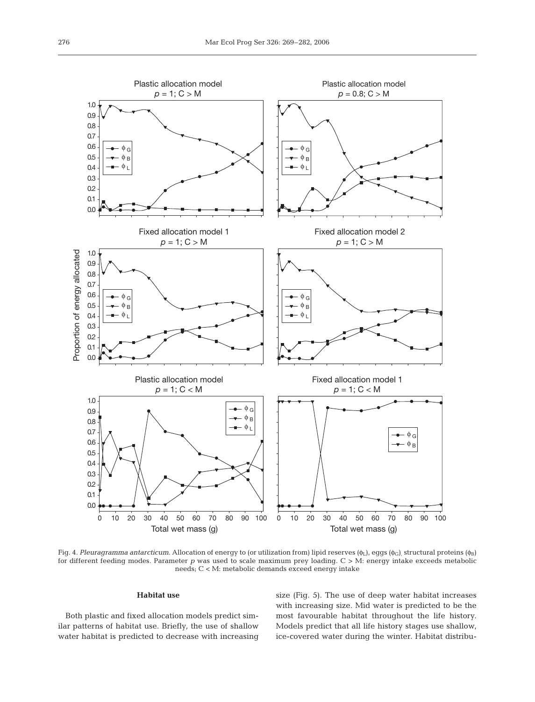

Fig. 4. *Pleuragramma antarcticum*. Allocation of energy to (or utilization from) lipid reserves (φ<sub>L</sub>), eggs (φ<sub>G</sub>), structural proteins (φ<sub>B</sub>) for different feeding modes. Parameter *p* was used to scale maximum prey loading. C > M: energy intake exceeds metabolic needs; C < M: metabolic demands exceed energy intake

## **Habitat use**

Both plastic and fixed allocation models predict similar patterns of habitat use. Briefly, the use of shallow water habitat is predicted to decrease with increasing size (Fig. 5). The use of deep water habitat increases with increasing size. Mid water is predicted to be the most favourable habitat throughout the life history. Models predict that all life history stages use shallow, ice-covered water during the winter. Habitat distribu-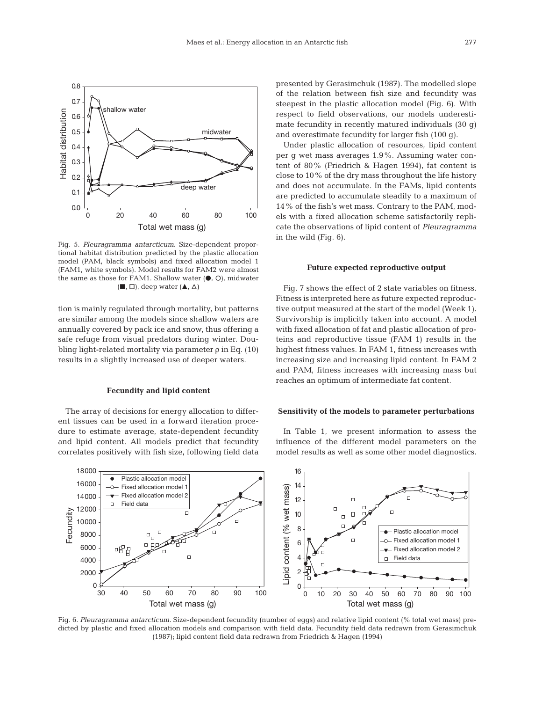

Fig. 5. *Pleuragramma antarcticum*. Size-dependent proportional habitat distribution predicted by the plastic allocation model (PAM, black symbols) and fixed allocation model 1 (FAM1, white symbols). Model results for FAM2 were almost the same as those for FAM1. Shallow water  $(①, ①)$ , midwater  $(\blacksquare, \square)$ , deep water  $(\blacktriangle, \triangle)$ 

tion is mainly regulated through mortality, but patterns are similar among the models since shallow waters are annually covered by pack ice and snow, thus offering a safe refuge from visual predators during winter. Doubling light-related mortality via parameter ρ in Eq. (10) results in a slightly increased use of deeper waters.

#### **Fecundity and lipid content**

The array of decisions for energy allocation to different tissues can be used in a forward iteration procedure to estimate average, state-dependent fecundity and lipid content. All models predict that fecundity correlates positively with fish size, following field data presented by Gerasimchuk (1987). The modelled slope of the relation between fish size and fecundity was steepest in the plastic allocation model (Fig. 6). With respect to field observations, our models underestimate fecundity in recently matured individuals (30 g) and overestimate fecundity for larger fish (100 g).

Under plastic allocation of resources, lipid content per g wet mass averages 1.9%. Assuming water content of 80% (Friedrich & Hagen 1994), fat content is close to 10% of the dry mass throughout the life history and does not accumulate. In the FAMs, lipid contents are predicted to accumulate steadily to a maximum of 14% of the fish's wet mass. Contrary to the PAM, models with a fixed allocation scheme satisfactorily replicate the observations of lipid content of *Pleuragramma* in the wild (Fig. 6).

#### **Future expected reproductive output**

Fig. 7 shows the effect of 2 state variables on fitness. Fitness is interpreted here as future expected reproductive output measured at the start of the model (Week 1). Survivorship is implicitly taken into account. A model with fixed allocation of fat and plastic allocation of proteins and reproductive tissue (FAM 1) results in the highest fitness values. In FAM 1, fitness increases with increasing size and increasing lipid content. In FAM 2 and PAM, fitness increases with increasing mass but reaches an optimum of intermediate fat content.

## **Sensitivity of the models to parameter perturbations**

In Table 1, we present information to assess the influence of the different model parameters on the model results as well as some other model diagnostics.



Fig. 6. *Pleuragramma antarcticum*. Size-dependent fecundity (number of eggs) and relative lipid content (% total wet mass) predicted by plastic and fixed allocation models and comparison with field data. Fecundity field data redrawn from Gerasimchuk (1987); lipid content field data redrawn from Friedrich & Hagen (1994)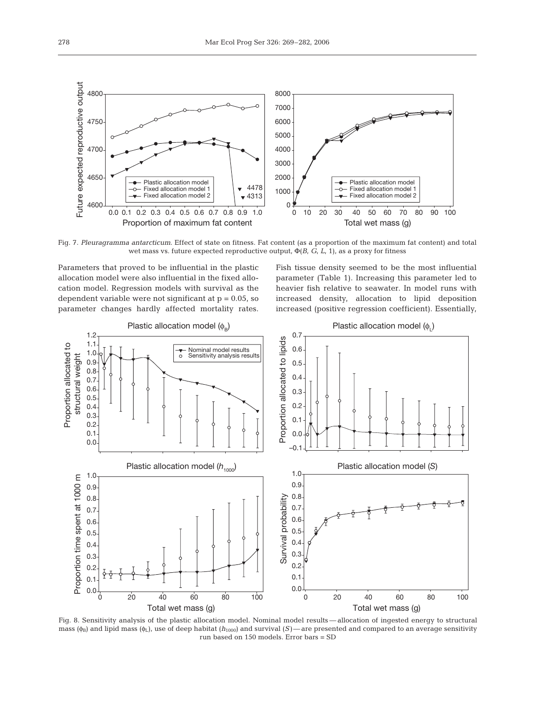

Fig. 7. *Pleuragramma antarcticum*. Effect of state on fitness. Fat content (as a proportion of the maximum fat content) and total wet mass vs. future expected reproductive output, Φ(*B*, *G*, *L*, 1), as a proxy for fitness

Parameters that proved to be influential in the plastic allocation model were also influential in the fixed allocation model. Regression models with survival as the dependent variable were not significant at  $p = 0.05$ , so parameter changes hardly affected mortality rates.

Fish tissue density seemed to be the most influential parameter (Table 1). Increasing this parameter led to heavier fish relative to seawater. In model runs with increased density, allocation to lipid deposition increased (positive regression coefficient). Essentially,



Fig. 8. Sensitivity analysis of the plastic allocation model. Nominal model results — allocation of ingested energy to structural mass ( $\phi_B$ ) and lipid mass ( $\phi_L$ ), use of deep habitat ( $h_{1000}$ ) and survival (*S*)— are presented and compared to an average sensitivity run based on 150 models. Error bars = SD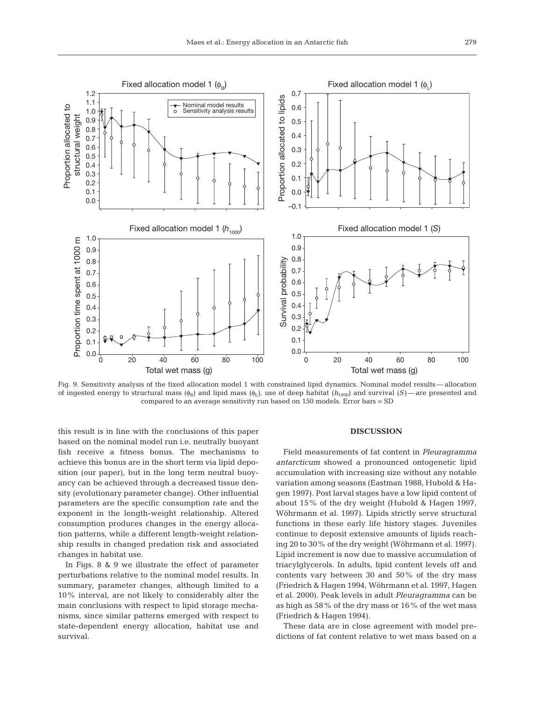

Fig. 9. Sensitivity analysis of the fixed allocation model 1 with constrained lipid dynamics. Nominal model results — allocation of ingested energy to structural mass  $(\phi_B)$  and lipid mass  $(\phi_L)$ , use of deep habitat  $(h_{1000})$  and survival  $(S)$ —are presented and compared to an average sensitivity run based on 150 models. Error bars = SD

this result is in line with the conclusions of this paper based on the nominal model run i.e. neutrally buoyant fish receive a fitness bonus. The mechanisms to achieve this bonus are in the short term via lipid deposition (our paper), but in the long term neutral buoyancy can be achieved through a decreased tissue density (evolutionary parameter change). Other influential parameters are the specific consumption rate and the exponent in the length-weight relationship. Altered consumption produces changes in the energy allocation patterns, while a different length-weight relationship results in changed predation risk and associated changes in habitat use.

In Figs. 8 & 9 we illustrate the effect of parameter perturbations relative to the nominal model results. In summary, parameter changes, although limited to a 10% interval, are not likely to considerably alter the main conclusions with respect to lipid storage mechanisms, since similar patterns emerged with respect to state-dependent energy allocation, habitat use and survival.

## **DISCUSSION**

Field measurements of fat content in *Pleuragramma antarcticum* showed a pronounced ontogenetic lipid accumulation with increasing size without any notable variation among seasons (Eastman 1988, Hubold & Hagen 1997). Post larval stages have a low lipid content of about 15% of the dry weight (Hubold & Hagen 1997, Wöhrmann et al. 1997). Lipids strictly serve structural functions in these early life history stages. Juveniles continue to deposit extensive amounts of lipids reaching 20 to 30% of the dry weight (Wöhrmann et al. 1997). Lipid increment is now due to massive accumulation of triacylglycerols. In adults, lipid content levels off and contents vary between 30 and 50% of the dry mass (Friedrich & Hagen 1994, Wöhrmann et al. 1997, Hagen et al. 2000). Peak levels in adult *Pleuragramma* can be as high as 58% of the dry mass or 16% of the wet mass (Friedrich & Hagen 1994).

These data are in close agreement with model predictions of fat content relative to wet mass based on a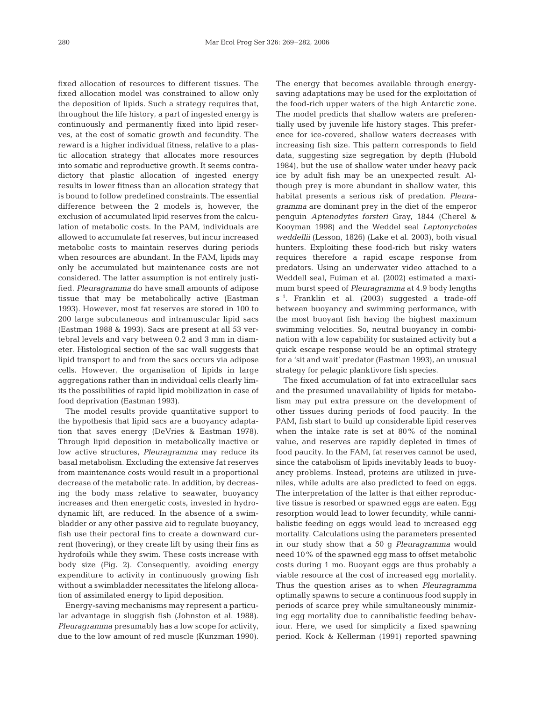fixed allocation of resources to different tissues. The fixed allocation model was constrained to allow only the deposition of lipids. Such a strategy requires that, throughout the life history, a part of ingested energy is continuously and permanently fixed into lipid reserves, at the cost of somatic growth and fecundity. The reward is a higher individual fitness, relative to a plastic allocation strategy that allocates more resources into somatic and reproductive growth. It seems contradictory that plastic allocation of ingested energy results in lower fitness than an allocation strategy that is bound to follow predefined constraints. The essential difference between the 2 models is, however, the exclusion of accumulated lipid reserves from the calculation of metabolic costs. In the PAM, individuals are allowed to accumulate fat reserves, but incur increased metabolic costs to maintain reserves during periods when resources are abundant. In the FAM, lipids may only be accumulated but maintenance costs are not considered. The latter assumption is not entirely justified. *Pleuragramma* do have small amounts of adipose tissue that may be metabolically active (Eastman 1993). However, most fat reserves are stored in 100 to 200 large subcutaneous and intramuscular lipid sacs (Eastman 1988 & 1993). Sacs are present at all 53 vertebral levels and vary between 0.2 and 3 mm in diameter. Histological section of the sac wall suggests that lipid transport to and from the sacs occurs via adipose cells. However, the organisation of lipids in large aggregations rather than in individual cells clearly limits the possibilities of rapid lipid mobilization in case of food deprivation (Eastman 1993).

The model results provide quantitative support to the hypothesis that lipid sacs are a buoyancy adaptation that saves energy (DeVries & Eastman 1978). Through lipid deposition in metabolically inactive or low active structures, *Pleuragramma* may reduce its basal metabolism. Excluding the extensive fat reserves from maintenance costs would result in a proportional decrease of the metabolic rate. In addition, by decreasing the body mass relative to seawater, buoyancy increases and then energetic costs, invested in hydrodynamic lift, are reduced. In the absence of a swimbladder or any other passive aid to regulate buoyancy, fish use their pectoral fins to create a downward current (hovering), or they create lift by using their fins as hydrofoils while they swim. These costs increase with body size (Fig. 2). Consequently, avoiding energy expenditure to activity in continuously growing fish without a swimbladder necessitates the lifelong allocation of assimilated energy to lipid deposition.

Energy-saving mechanisms may represent a particular advantage in sluggish fish (Johnston et al. 1988). *Pleuragramma* presumably has a low scope for activity, due to the low amount of red muscle (Kunzman 1990). The energy that becomes available through energysaving adaptations may be used for the exploitation of the food-rich upper waters of the high Antarctic zone. The model predicts that shallow waters are preferentially used by juvenile life history stages. This preference for ice-covered, shallow waters decreases with increasing fish size. This pattern corresponds to field data, suggesting size segregation by depth (Hubold 1984), but the use of shallow water under heavy pack ice by adult fish may be an unexpected result. Although prey is more abundant in shallow water, this habitat presents a serious risk of predation. *Pleuragramma* are dominant prey in the diet of the emperor penguin *Aptenodytes forsteri* Gray, 1844 (Cherel & Kooyman 1998) and the Weddel seal *Leptonychotes weddellii* (Lesson, 1826) (Lake et al. 2003), both visual hunters. Exploiting these food-rich but risky waters requires therefore a rapid escape response from predators. Using an underwater video attached to a Weddell seal, Fuiman et al. (2002) estimated a maximum burst speed of *Pleuragramma* at 4.9 body lengths  $s^{-1}$ . Franklin et al. (2003) suggested a trade-off between buoyancy and swimming performance, with the most buoyant fish having the highest maximum swimming velocities. So, neutral buoyancy in combination with a low capability for sustained activity but a quick escape response would be an optimal strategy for a 'sit and wait' predator (Eastman 1993), an unusual strategy for pelagic planktivore fish species.

The fixed accumulation of fat into extracellular sacs and the presumed unavailability of lipids for metabolism may put extra pressure on the development of other tissues during periods of food paucity. In the PAM, fish start to build up considerable lipid reserves when the intake rate is set at 80% of the nominal value, and reserves are rapidly depleted in times of food paucity. In the FAM, fat reserves cannot be used, since the catabolism of lipids inevitably leads to buoyancy problems. Instead, proteins are utilized in juveniles, while adults are also predicted to feed on eggs. The interpretation of the latter is that either reproductive tissue is resorbed or spawned eggs are eaten. Egg resorption would lead to lower fecundity, while cannibalistic feeding on eggs would lead to increased egg mortality. Calculations using the parameters presented in our study show that a 50 g *Pleuragramma* would need 10% of the spawned egg mass to offset metabolic costs during 1 mo. Buoyant eggs are thus probably a viable resource at the cost of increased egg mortality. Thus the question arises as to when *Pleuragramma* optimally spawns to secure a continuous food supply in periods of scarce prey while simultaneously minimizing egg mortality due to cannibalistic feeding behaviour. Here, we used for simplicity a fixed spawning period. Kock & Kellerman (1991) reported spawning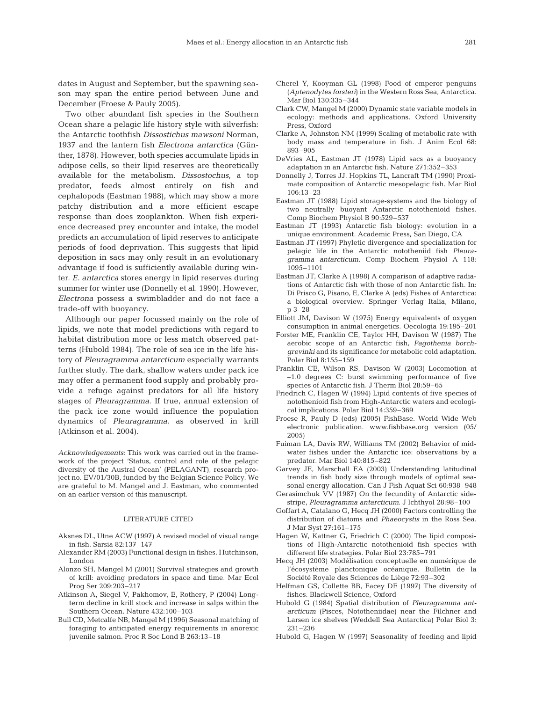dates in August and September, but the spawning season may span the entire period between June and December (Froese & Pauly 2005).

Two other abundant fish species in the Southern Ocean share a pelagic life history style with silverfish: the Antarctic toothfish *Dissostichus mawsoni* Norman, 1937 and the lantern fish *Electrona antarctica* (Günther, 1878). However, both species accumulate lipids in adipose cells, so their lipid reserves are theoretically available for the metabolism. *Dissostochus*, a top predator, feeds almost entirely on fish and cephalopods (Eastman 1988), which may show a more patchy distribution and a more efficient escape response than does zooplankton. When fish experience decreased prey encounter and intake, the model predicts an accumulation of lipid reserves to anticipate periods of food deprivation. This suggests that lipid deposition in sacs may only result in an evolutionary advantage if food is sufficiently available during winter. *E. antarctica* stores energy in lipid reserves during summer for winter use (Donnelly et al. 1990). However, *Electrona* possess a swimbladder and do not face a trade-off with buoyancy.

Although our paper focussed mainly on the role of lipids, we note that model predictions with regard to habitat distribution more or less match observed patterns (Hubold 1984). The role of sea ice in the life history of *Pleuragramma antarcticum* especially warrants further study. The dark, shallow waters under pack ice may offer a permanent food supply and probably provide a refuge against predators for all life history stages of *Pleuragramma*. If true, annual extension of the pack ice zone would influence the population dynamics of *Pleuragramma*, as observed in krill (Atkinson et al. 2004).

*Acknowledgements*: This work was carried out in the framework of the project 'Status, control and role of the pelagic diversity of the Austral Ocean' (PELAGANT), research project no. EV/01/30B, funded by the Belgian Science Policy. We are grateful to M. Mangel and J. Eastman, who commented on an earlier version of this manuscript.

## LITERATURE CITED

- Aksnes DL, Utne ACW (1997) A revised model of visual range in fish. Sarsia 82:137–147
- Alexander RM (2003) Functional design in fishes. Hutchinson, London
- Alonzo SH, Mangel M (2001) Survival strategies and growth of krill: avoiding predators in space and time. Mar Ecol Prog Ser 209:203–217
- Atkinson A, Siegel V, Pakhomov, E, Rothery, P (2004) Longterm decline in krill stock and increase in salps within the Southern Ocean. Nature 432:100–103
- Bull CD, Metcalfe NB, Mangel M (1996) Seasonal matching of foraging to anticipated energy requirements in anorexic juvenile salmon. Proc R Soc Lond B 263:13–18
- Cherel Y, Kooyman GL (1998) Food of emperor penguins (*Aptenodytes forsteri*) in the Western Ross Sea, Antarctica. Mar Biol 130:335–344
- Clark CW, Mangel M (2000) Dynamic state variable models in ecology: methods and applications. Oxford University Press, Oxford
- Clarke A, Johnston NM (1999) Scaling of metabolic rate with body mass and temperature in fish. J Anim Ecol 68: 893–905
- DeVries AL, Eastman JT (1978) Lipid sacs as a buoyancy adaptation in an Antarctic fish. Nature 271:352–353
- Donnelly J, Torres JJ, Hopkins TL, Lancraft TM (1990) Proximate composition of Antarctic mesopelagic fish. Mar Biol 106:13–23
- Eastman JT (1988) Lipid storage-systems and the biology of two neutrally buoyant Antarctic notothenioid fishes. Comp Biochem Physiol B 90:529–537
- Eastman JT (1993) Antarctic fish biology: evolution in a unique environment. Academic Press, San Diego, CA
- Eastman JT (1997) Phyletic divergence and specialization for pelagic life in the Antarctic nototheniid fish *Pleuragramma antarcticum*. Comp Biochem Physiol A 118: 1095–1101
- Eastman JT, Clarke A (1998) A comparison of adaptive radiations of Antarctic fish with those of non Antarctic fish. In: Di Prisco G, Pisano, E, Clarke A (eds) Fishes of Antarctica: a biological overview. Springer Verlag Italia, Milano, p 3–28
- Elliott JM, Davison W (1975) Energy equivalents of oxygen consumption in animal energetics. Oecologia 19:195–201
- Forster ME, Franklin CE, Taylor HH, Davison W (1987) The aerobic scope of an Antarctic fish, *Pagothenia borchgrevinki* and its significance for metabolic cold adaptation. Polar Biol 8:155–159
- Franklin CE, Wilson RS, Davison W (2003) Locomotion at –1.0 degrees C: burst swimming performance of five species of Antarctic fish. J Therm Biol 28:59–65
- Friedrich C, Hagen W (1994) Lipid contents of five species of notothenioid fish from High-Antarctic waters and ecological implications. Polar Biol 14:359–369
- Froese R, Pauly D (eds) (2005) FishBase. World Wide Web electronic publication. www.fishbase.org version (05/ 2005)
- Fuiman LA, Davis RW, Williams TM (2002) Behavior of midwater fishes under the Antarctic ice: observations by a predator. Mar Biol 140:815–822
- Garvey JE, Marschall EA (2003) Understanding latitudinal trends in fish body size through models of optimal seasonal energy allocation. Can J Fish Aquat Sci 60:938–948
- Gerasimchuk VV (1987) On the fecundity of Antarctic sidestripe, *Pleuragramma antarcticum*. J Ichthyol 28:98–100
- Goffart A, Catalano G, Hecq JH (2000) Factors controlling the distribution of diatoms and *Phaeocystis* in the Ross Sea. J Mar Syst 27:161–175
- Hagen W, Kattner G, Friedrich C (2000) The lipid compositions of High-Antarctic notothenioid fish species with different life strategies. Polar Biol 23:785–791
- Hecq JH (2003) Modélisation conceptuelle en numérique de l'écosystème planctonique océanique. Bulletin de la Société Royale des Sciences de Liège 72:93–302
- Helfman GS, Collette BB, Facey DE (1997) The diversity of fishes. Blackwell Science, Oxford
- Hubold G (1984) Spatial distribution of *Pleuragramma antarcticum* (Pisces, Nototheniidae) near the Filchner and Larsen ice shelves (Weddell Sea Antarctica) Polar Biol 3: 231–236
- Hubold G, Hagen W (1997) Seasonality of feeding and lipid